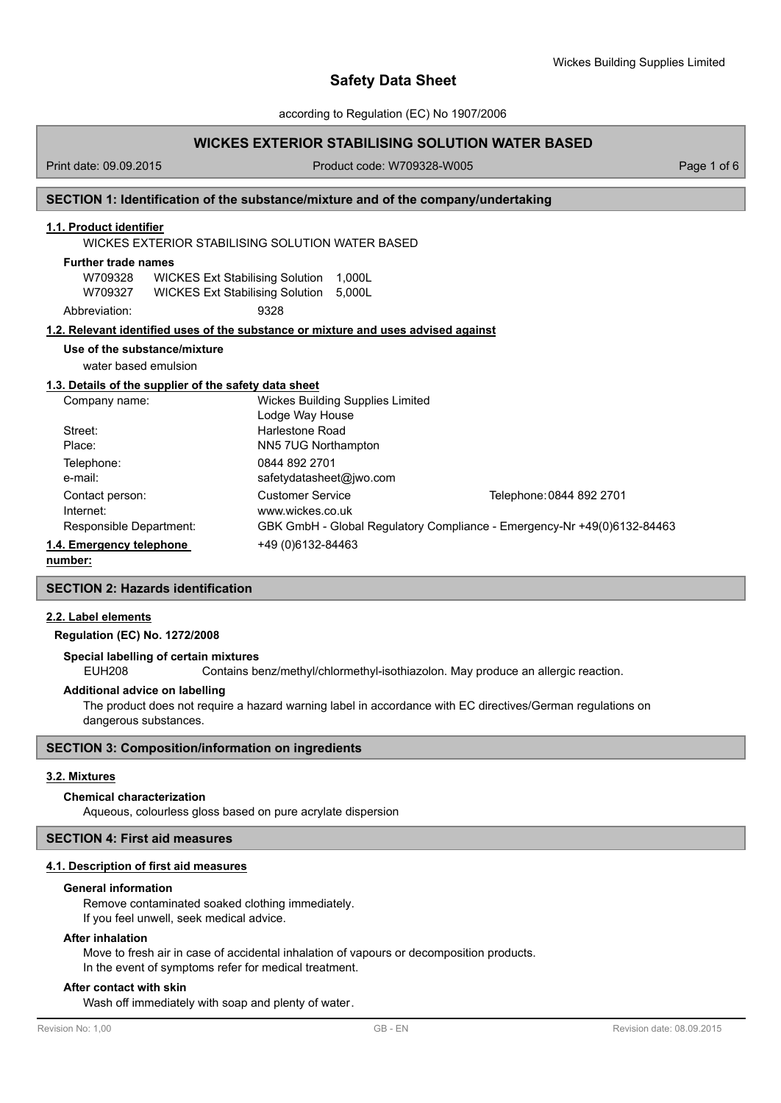according to Regulation (EC) No 1907/2006

# **WICKES EXTERIOR STABILISING SOLUTION WATER BASED**

Print date: 09.09.2015 Product code: W709328-W005 Product code: W709328-W005

## **SECTION 1: Identification of the substance/mixture and of the company/undertaking**

# **1.1. Product identifier**

WICKES EXTERIOR STABILISING SOLUTION WATER BASED

# **Further trade names**

W709328 WICKES Ext Stabilising Solution 1,000L W709327 WICKES Ext Stabilising Solution 5,000L Abbreviation: 9328

## **1.2. Relevant identified uses of the substance or mixture and uses advised against**

# **Use of the substance/mixture**

water based emulsion

## **1.3. Details of the supplier of the safety data sheet**

| Company name:            | <b>Wickes Building Supplies Limited</b>                                 |                          |  |
|--------------------------|-------------------------------------------------------------------------|--------------------------|--|
|                          | Lodge Way House                                                         |                          |  |
| Street:                  | Harlestone Road                                                         |                          |  |
| Place:                   | NN5 7UG Northampton                                                     |                          |  |
| Telephone:               | 0844 892 2701                                                           |                          |  |
| e-mail:                  | safetydatasheet@jwo.com                                                 |                          |  |
| Contact person:          | <b>Customer Service</b>                                                 | Telephone: 0844 892 2701 |  |
| Internet:                | www.wickes.co.uk                                                        |                          |  |
| Responsible Department:  | GBK GmbH - Global Regulatory Compliance - Emergency-Nr +49(0)6132-84463 |                          |  |
| 1.4. Emergency telephone | +49 (0) 6132-84463                                                      |                          |  |
|                          |                                                                         |                          |  |

## **number:**

## **SECTION 2: Hazards identification**

# **2.2. Label elements**

**Regulation (EC) No. 1272/2008**

#### **Special labelling of certain mixtures**

EUH208 Contains benz/methyl/chlormethyl-isothiazolon. May produce an allergic reaction.

#### **Additional advice on labelling**

The product does not require a hazard warning label in accordance with EC directives/German regulations on dangerous substances.

## **SECTION 3: Composition/information on ingredients**

#### **3.2. Mixtures**

#### **Chemical characterization**

Aqueous, colourless gloss based on pure acrylate dispersion

#### **SECTION 4: First aid measures**

# **4.1. Description of first aid measures**

### **General information**

Remove contaminated soaked clothing immediately. If you feel unwell, seek medical advice.

#### **After inhalation**

Move to fresh air in case of accidental inhalation of vapours or decomposition products. In the event of symptoms refer for medical treatment.

#### **After contact with skin**

Wash off immediately with soap and plenty of water.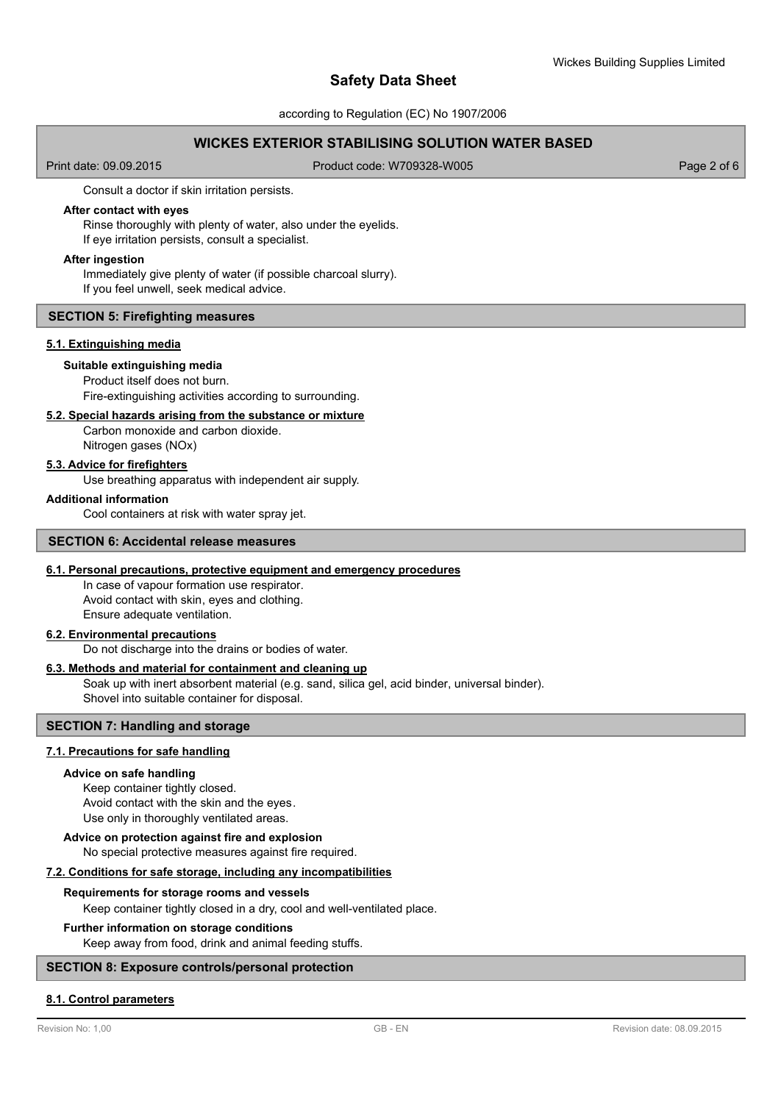#### according to Regulation (EC) No 1907/2006

# **WICKES EXTERIOR STABILISING SOLUTION WATER BASED**

Print date: 09.09.2015 Product code: W709328-W005 Product code: W709328-W005

Consult a doctor if skin irritation persists.

## **After contact with eyes**

Rinse thoroughly with plenty of water, also under the eyelids. If eye irritation persists, consult a specialist.

#### **After ingestion**

Immediately give plenty of water (if possible charcoal slurry). If you feel unwell, seek medical advice.

### **SECTION 5: Firefighting measures**

#### **5.1. Extinguishing media**

## **Suitable extinguishing media**

Product itself does not burn. Fire-extinguishing activities according to surrounding.

#### **5.2. Special hazards arising from the substance or mixture**

Carbon monoxide and carbon dioxide. Nitrogen gases (NOx)

# **5.3. Advice for firefighters**

Use breathing apparatus with independent air supply.

#### **Additional information**

Cool containers at risk with water spray jet.

#### **SECTION 6: Accidental release measures**

#### **6.1. Personal precautions, protective equipment and emergency procedures**

In case of vapour formation use respirator. Avoid contact with skin, eyes and clothing. Ensure adequate ventilation.

#### **6.2. Environmental precautions**

Do not discharge into the drains or bodies of water.

#### **6.3. Methods and material for containment and cleaning up**

Soak up with inert absorbent material (e.g. sand, silica gel, acid binder, universal binder). Shovel into suitable container for disposal.

# **SECTION 7: Handling and storage**

## **7.1. Precautions for safe handling**

#### **Advice on safe handling**

Keep container tightly closed. Avoid contact with the skin and the eyes. Use only in thoroughly ventilated areas.

### **Advice on protection against fire and explosion**

No special protective measures against fire required.

### **7.2. Conditions for safe storage, including any incompatibilities**

#### **Requirements for storage rooms and vessels**

Keep container tightly closed in a dry, cool and well-ventilated place.

#### **Further information on storage conditions**

Keep away from food, drink and animal feeding stuffs.

# **SECTION 8: Exposure controls/personal protection**

### **8.1. Control parameters**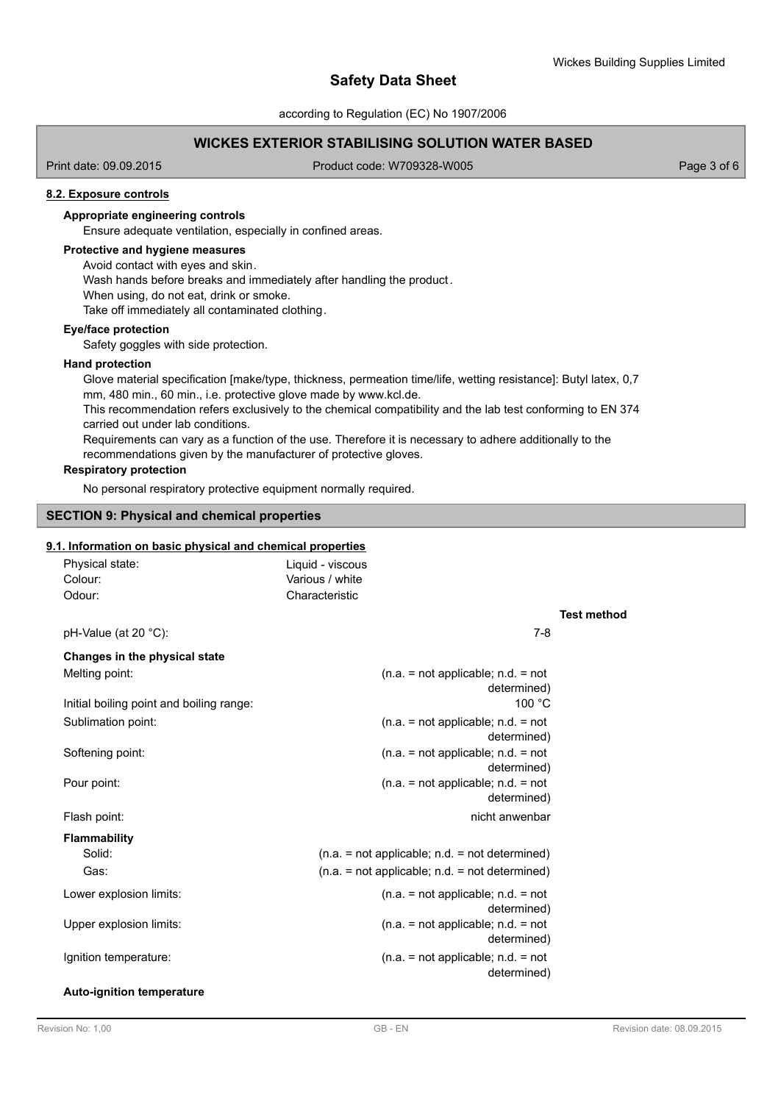according to Regulation (EC) No 1907/2006

# **WICKES EXTERIOR STABILISING SOLUTION WATER BASED**

Print date: 09.09.2015 Product code: W709328-W005 Product code: W709328-W005

## **8.2. Exposure controls**

# **Appropriate engineering controls**

Ensure adequate ventilation, especially in confined areas.

# **Protective and hygiene measures**

Avoid contact with eyes and skin.

Wash hands before breaks and immediately after handling the product.

When using, do not eat, drink or smoke.

Take off immediately all contaminated clothing.

### **Eye/face protection**

Safety goggles with side protection.

#### **Hand protection**

Glove material specification [make/type, thickness, permeation time/life, wetting resistance]: Butyl latex, 0,7 mm, 480 min., 60 min., i.e. protective glove made by www.kcl.de. This recommendation refers exclusively to the chemical compatibility and the lab test conforming to EN 374 carried out under lab conditions. Requirements can vary as a function of the use. Therefore it is necessary to adhere additionally to the recommendations given by the manufacturer of protective gloves.

#### **Respiratory protection**

No personal respiratory protective equipment normally required.

# **SECTION 9: Physical and chemical properties**

# **9.1. Information on basic physical and chemical properties**

| Physical state:         | Liquid - viscous |     |
|-------------------------|------------------|-----|
| Colour:                 | Various / white  |     |
| Odour:                  | Characteristic   |     |
| pH-Value (at 20 $°C$ ): |                  | 7-8 |

# **Test method**

| Changes in the physical state            |                                                     |
|------------------------------------------|-----------------------------------------------------|
| Melting point:                           | $(n.a. = not applicable; n.d. = not$<br>determined) |
| Initial boiling point and boiling range: | 100 °C                                              |
| Sublimation point:                       | $(n.a. = not applicable; n.d. = not$<br>determined) |
| Softening point:                         | $(n.a. = not applicable; n.d. = not$<br>determined) |
| Pour point:                              | $(n.a. = not applicable; n.d. = not$<br>determined) |
| Flash point:                             | nicht anwenbar                                      |
| <b>Flammability</b>                      |                                                     |
| Solid:                                   | $(n.a. = not applicable; n.d. = not determined)$    |
| Gas:                                     | $(n.a. = not applicable; n.d. = not determined)$    |
| Lower explosion limits:                  | $(n.a. = not applicable; n.d. = not$<br>determined) |
| Upper explosion limits:                  | $(n.a. = not applicable; n.d. = not$<br>determined) |
| Ignition temperature:                    | $(n.a. = not applicable; n.d. = not$<br>determined) |
| <b>Auto-ignition temperature</b>         |                                                     |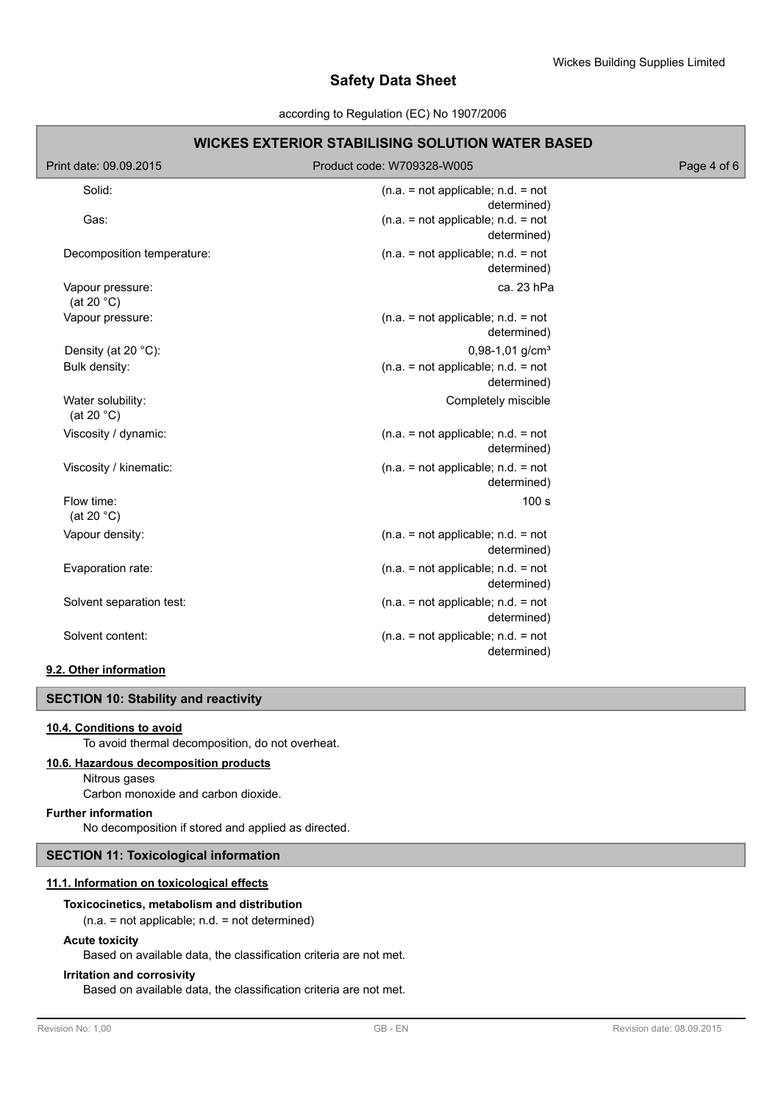#### according to Regulation (EC) No 1907/2006

| <b>WICKES EXTERIOR STABILISING SOLUTION WATER BASED</b> |                                                     |             |  |  |
|---------------------------------------------------------|-----------------------------------------------------|-------------|--|--|
| Print date: 09.09.2015                                  | Product code: W709328-W005                          | Page 4 of 6 |  |  |
| Solid:                                                  | $(n.a. = not applicable; n.d. = not$<br>determined) |             |  |  |
| Gas:                                                    | $(n.a. = not applicable; n.d. = not$<br>determined) |             |  |  |
| Decomposition temperature:                              | $(n.a. = not applicable; n.d. = not$<br>determined) |             |  |  |
| Vapour pressure:<br>(at 20 $^{\circ}$ C)                | ca. 23 hPa                                          |             |  |  |
| Vapour pressure:                                        | $(n.a. = not applicable; n.d. = not$<br>determined) |             |  |  |
| Density (at 20 °C):                                     | $0,98-1,01$ g/cm <sup>3</sup>                       |             |  |  |
| Bulk density:                                           | $(n.a. = not applicable; n.d. = not$<br>determined) |             |  |  |
| Water solubility:<br>(at 20 $^{\circ}$ C)               | Completely miscible                                 |             |  |  |
| Viscosity / dynamic:                                    | $(n.a. = not applicable; n.d. = not$<br>determined) |             |  |  |
| Viscosity / kinematic:                                  | $(n.a. = not applicable; n.d. = not$<br>determined) |             |  |  |
| Flow time:<br>(at 20 $°C$ )                             | 100 <sub>s</sub>                                    |             |  |  |
| Vapour density:                                         | $(n.a. = not applicable; n.d. = not$<br>determined) |             |  |  |
| Evaporation rate:                                       | $(n.a. = not applicable; n.d. = not$<br>determined) |             |  |  |
| Solvent separation test:                                | $(n.a. = not applicable; n.d. = not$<br>determined) |             |  |  |
| Solvent content:                                        | $(n.a. = not applicable; n.d. = not$<br>determined) |             |  |  |

# **9.2. Other information**

# **SECTION 10: Stability and reactivity**

### **10.4. Conditions to avoid**

To avoid thermal decomposition, do not overheat.

# **10.6. Hazardous decomposition products**

Nitrous gases

Carbon monoxide and carbon dioxide.

# **Further information**

No decomposition if stored and applied as directed.

# **SECTION 11: Toxicological information**

### **11.1. Information on toxicological effects**

#### **Toxicocinetics, metabolism and distribution**

(n.a. = not applicable; n.d. = not determined)

### **Acute toxicity**

Based on available data, the classification criteria are not met.

## **Irritation and corrosivity**

Based on available data, the classification criteria are not met.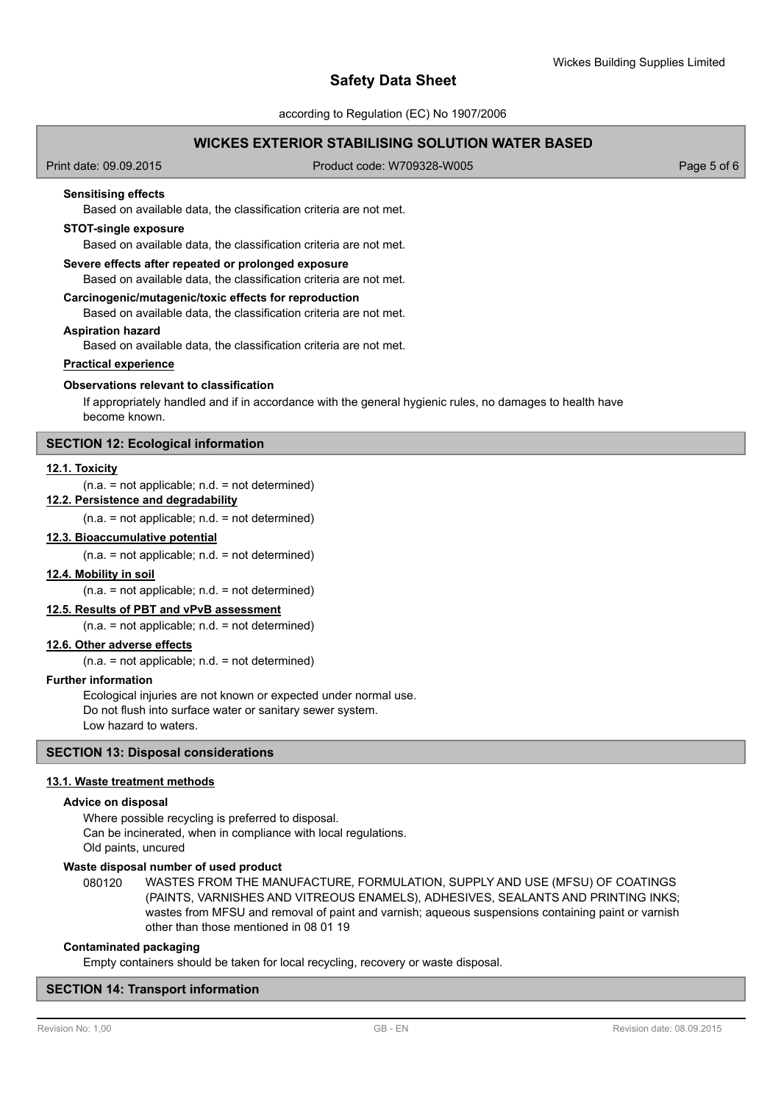according to Regulation (EC) No 1907/2006

# **WICKES EXTERIOR STABILISING SOLUTION WATER BASED**

Print date: 09.09.2015 Product code: W709328-W005 Product code: W709328-W005

#### **Sensitising effects**

Based on available data, the classification criteria are not met.

#### **STOT-single exposure**

Based on available data, the classification criteria are not met.

#### **Severe effects after repeated or prolonged exposure**

Based on available data, the classification criteria are not met.

#### **Carcinogenic/mutagenic/toxic effects for reproduction**

Based on available data, the classification criteria are not met.

#### **Aspiration hazard**

Based on available data, the classification criteria are not met.

# **Practical experience**

#### **Observations relevant to classification**

If appropriately handled and if in accordance with the general hygienic rules, no damages to health have become known.

# **SECTION 12: Ecological information**

#### **12.1. Toxicity**

#### $(n.a. = not applicable; n.d. = not determined)$

**12.2. Persistence and degradability**

 $(n.a. = not applicable; n.d. = not determined)$ 

#### **12.3. Bioaccumulative potential**

 $(n.a. = not applicable; n.d. = not determined)$ 

#### **12.4. Mobility in soil**

 $(n.a. = not applicable; n.d. = not determined)$ 

#### **12.5. Results of PBT and vPvB assessment**

(n.a. = not applicable; n.d. = not determined)

# **12.6. Other adverse effects**

 $(n.a. = not applicable; n.d. = not determined)$ 

#### **Further information**

Ecological injuries are not known or expected under normal use. Do not flush into surface water or sanitary sewer system. Low hazard to waters.

### **SECTION 13: Disposal considerations**

#### **13.1. Waste treatment methods**

#### **Advice on disposal**

Where possible recycling is preferred to disposal. Can be incinerated, when in compliance with local regulations. Old paints, uncured

#### **Waste disposal number of used product**

WASTES FROM THE MANUFACTURE, FORMULATION, SUPPLY AND USE (MFSU) OF COATINGS (PAINTS, VARNISHES AND VITREOUS ENAMELS), ADHESIVES, SEALANTS AND PRINTING INKS; wastes from MFSU and removal of paint and varnish; aqueous suspensions containing paint or varnish other than those mentioned in 08 01 19 080120

#### **Contaminated packaging**

Empty containers should be taken for local recycling, recovery or waste disposal.

#### **SECTION 14: Transport information**